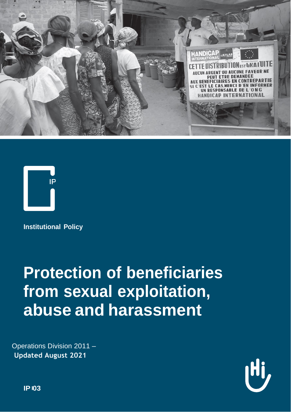



**Institutional Policy**

# **Protection of beneficiaries from sexual exploitation, abuse and harassment**

Operations Division 2011 – **Updated August 2021**



**IP 03**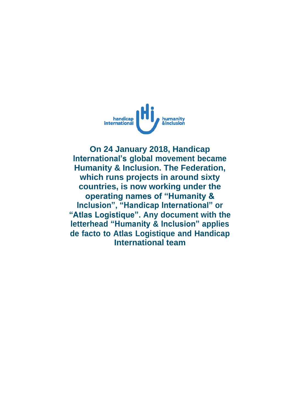

**On 24 January 2018, Handicap International's global movement became Humanity & Inclusion. The Federation, which runs projects in around sixty countries, is now working under the operating names of "Humanity & Inclusion", "Handicap International" or "Atlas Logistique". Any document with the letterhead "Humanity & Inclusion" applies de facto to Atlas Logistique and Handicap International team**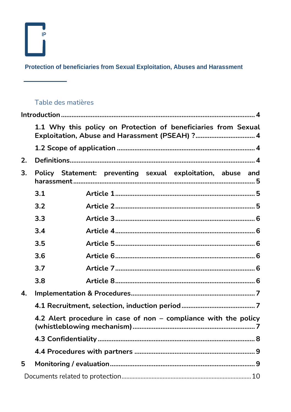$\sum_{i=1}^{n}$ 

Protection of beneficiaries from Sexual Exploitation, Abuses and Harassment

## Table des matières

 $\sim$   $\sim$   $\sim$   $\sim$ 

|              | 1.1 Why this policy on Protection of beneficiaries from Sexual<br>Exploitation, Abuse and Harassment (PSEAH) ? 4 |                                                             |
|--------------|------------------------------------------------------------------------------------------------------------------|-------------------------------------------------------------|
|              |                                                                                                                  |                                                             |
| 2.           |                                                                                                                  |                                                             |
| 3.           |                                                                                                                  | Policy Statement: preventing sexual exploitation, abuse and |
|              | 3.1                                                                                                              |                                                             |
|              | 3.2                                                                                                              |                                                             |
|              | 3.3                                                                                                              |                                                             |
|              | 3.4                                                                                                              |                                                             |
|              | 3.5                                                                                                              |                                                             |
|              | 3.6                                                                                                              |                                                             |
|              | 3.7                                                                                                              |                                                             |
|              | 3.8                                                                                                              |                                                             |
| $\mathbf{A}$ |                                                                                                                  |                                                             |
|              |                                                                                                                  |                                                             |
|              | 4.2 Alert procedure in case of non - compliance with the policy                                                  |                                                             |
|              |                                                                                                                  |                                                             |
|              |                                                                                                                  |                                                             |
| 5            |                                                                                                                  |                                                             |
|              |                                                                                                                  |                                                             |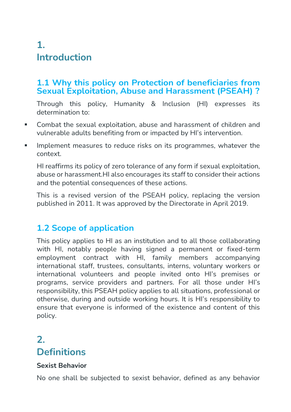# **1. Introduction**

#### **1.1 Why this policy on Protection of beneficiaries from Sexual Exploitation, Abuse and Harassment (PSEAH) ?**

Through this policy, Humanity & Inclusion (HI) expresses its determination to:

- Combat the sexual exploitation, abuse and harassment of children and vulnerable adults benefiting from or impacted by HI's intervention.
- **■** Implement measures to reduce risks on its programmes, whatever the context.

HI reaffirms its policy of zero tolerance of any form if sexual exploitation, abuse or harassment.HI also encourages its staff to consider their actions and the potential consequences of these actions.

This is a revised version of the PSEAH policy, replacing the version published in 2011. It was approved by the Directorate in April 2019.

## **1.2 Scope of application**

This policy applies to HI as an institution and to all those collaborating with HI, notably people having signed a permanent or fixed-term employment contract with HI, family members accompanying international staff, trustees, consultants, interns, voluntary workers or international volunteers and people invited onto HI's premises or programs, service providers and partners. For all those under HI's responsibility, this PSEAH policy applies to all situations, professional or otherwise, during and outside working hours. It is HI's responsibility to ensure that everyone is informed of the existence and content of this policy.

# **2. Definitions**

#### **Sexist Behavior**

No one shall be subjected to sexist behavior, defined as any behavior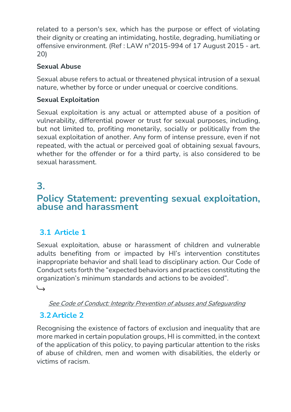related to a person's sex, which has the purpose or effect of violating their dignity or creating an intimidating, hostile, degrading, humiliating or offensive environment. (Ref : LAW n°2015-994 of 17 August 2015 - art. 20)

#### **Sexual Abuse**

Sexual abuse refers to actual or threatened physical intrusion of a sexual nature, whether by force or under unequal or coercive conditions.

#### **Sexual Exploitation**

Sexual exploitation is any actual or attempted abuse of a position of vulnerability, differential power or trust for sexual purposes, including, but not limited to, profiting monetarily, socially or politically from the sexual exploitation of another. Any form of intense pressure, even if not repeated, with the actual or perceived goal of obtaining sexual favours, whether for the offender or for a third party, is also considered to be sexual harassment.

# **3.**

# **Policy Statement: preventing sexual exploitation, abuse and harassment**

## **3.1 Article 1**

Sexual exploitation, abuse or harassment of children and vulnerable adults benefiting from or impacted by HI's intervention constitutes inappropriate behavior and shall lead to disciplinary action. Our Code of Conduct sets forth the "expected behaviors and practices constituting the organization's minimum standards and actions to be avoided".

←

#### See Code of Conduct: Integrity Prevention of abuses and Safeguarding

## **3.2Article 2**

Recognising the existence of factors of exclusion and inequality that are more marked in certain population groups, HI is committed, in the context of the application of this policy, to paying particular attention to the risks of abuse of children, men and women with disabilities, the elderly or victims of racism.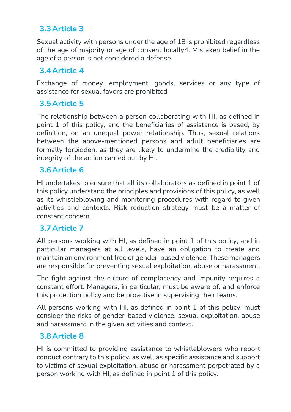#### **3.3Article 3**

Sexual activity with persons under the age of 18 is prohibited regardless of the age of majority or age of consent locally4. Mistaken belief in the age of a person is not considered a defense.

#### **3.4Article 4**

Exchange of money, employment, goods, services or any type of assistance for sexual favors are prohibited

## **3.5Article 5**

The relationship between a person collaborating with HI, as defined in point 1 of this policy, and the beneficiaries of assistance is based, by definition, on an unequal power relationship. Thus, sexual relations between the above-mentioned persons and adult beneficiaries are formally forbidden, as they are likely to undermine the credibility and integrity of the action carried out by HI.

#### **3.6Article 6**

HI undertakes to ensure that all its collaborators as defined in point 1 of this policy understand the principles and provisions of this policy, as well as its whistleblowing and monitoring procedures with regard to given activities and contexts. Risk reduction strategy must be a matter of constant concern.

#### **3.7Article 7**

All persons working with HI, as defined in point 1 of this policy, and in particular managers at all levels, have an obligation to create and maintain an environment free of gender-based violence. These managers are responsible for preventing sexual exploitation, abuse or harassment.

The fight against the culture of complacency and impunity requires a constant effort. Managers, in particular, must be aware of, and enforce this protection policy and be proactive in supervising their teams.

All persons working with HI, as defined in point 1 of this policy, must consider the risks of gender-based violence, sexual exploitation, abuse and harassment in the given activities and context.

#### **3.8Article 8**

HI is committed to providing assistance to whistleblowers who report conduct contrary to this policy, as well as specific assistance and support to victims of sexual exploitation, abuse or harassment perpetrated by a person working with HI, as defined in point 1 of this policy.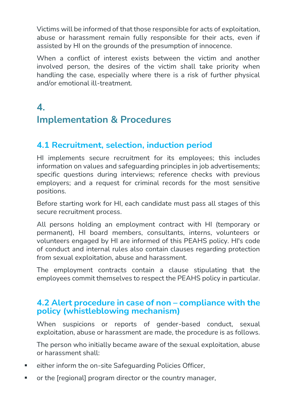Victims will be informed of that those responsible for acts of exploitation, abuse or harassment remain fully responsible for their acts, even if assisted by HI on the grounds of the presumption of innocence.

When a conflict of interest exists between the victim and another involved person, the desires of the victim shall take priority when handling the case, especially where there is a risk of further physical and/or emotional ill-treatment.

# **4. Implementation & Procedures**

## **4.1 Recruitment, selection, induction period**

HI implements secure recruitment for its employees; this includes information on values and safeguarding principles in job advertisements; specific questions during interviews; reference checks with previous employers; and a request for criminal records for the most sensitive positions.

Before starting work for HI, each candidate must pass all stages of this secure recruitment process.

All persons holding an employment contract with HI (temporary or permanent), HI board members, consultants, interns, volunteers or volunteers engaged by HI are informed of this PEAHS policy. HI's code of conduct and internal rules also contain clauses regarding protection from sexual exploitation, abuse and harassment.

The employment contracts contain a clause stipulating that the employees commit themselves to respect the PEAHS policy in particular.

#### **4.2 Alert procedure in case of non – compliance with the policy (whistleblowing mechanism)**

When suspicions or reports of gender-based conduct, sexual exploitation, abuse or harassment are made, the procedure is as follows.

The person who initially became aware of the sexual exploitation, abuse or harassment shall:

- either inform the on-site Safeguarding Policies Officer,
- or the [regional] program director or the country manager,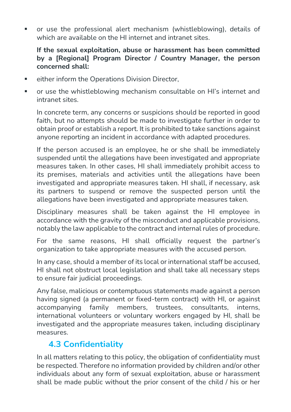or use the professional alert mechanism (whistleblowing), details of which are available on the HI internet and intranet sites.

#### **If the sexual exploitation, abuse or harassment has been committed by a [Regional] Program Director / Country Manager, the person concerned shall:**

- either inform the Operations Division Director,
- or use the whistleblowing mechanism consultable on HI's internet and intranet sites.

In concrete term, any concerns or suspicions should be reported in good faith, but no attempts should be made to investigate further in order to obtain proof or establish a report. It is prohibited to take sanctions against anyone reporting an incident in accordance with adapted procedures.

If the person accused is an employee, he or she shall be immediately suspended until the allegations have been investigated and appropriate measures taken. In other cases, HI shall immediately prohibit access to its premises, materials and activities until the allegations have been investigated and appropriate measures taken. HI shall, if necessary, ask its partners to suspend or remove the suspected person until the allegations have been investigated and appropriate measures taken.

Disciplinary measures shall be taken against the HI employee in accordance with the gravity of the misconduct and applicable provisions, notably the law applicable to the contract and internal rules of procedure.

For the same reasons, HI shall officially request the partner's organization to take appropriate measures with the accused person.

In any case, should a member of its local or international staff be accused, HI shall not obstruct local legislation and shall take all necessary steps to ensure fair judicial proceedings.

Any false, malicious or contemptuous statements made against a person having signed (a permanent or fixed-term contract) with HI, or against accompanying family members, trustees, consultants, interns, international volunteers or voluntary workers engaged by HI, shall be investigated and the appropriate measures taken, including disciplinary measures.

## **4.3 Confidentiality**

In all matters relating to this policy, the obligation of confidentiality must be respected. Therefore no information provided by children and/or other individuals about any form of sexual exploitation, abuse or harassment shall be made public without the prior consent of the child / his or her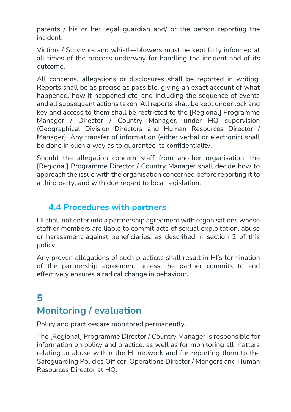parents / his or her legal guardian and/ or the person reporting the incident.

Victims / Survivors and whistle-blowers must be kept fully informed at all times of the process underway for handling the incident and of its outcome.

All concerns, allegations or disclosures shall be reported in writing. Reports shall be as precise as possible, giving an exact account of what happened, how it happened etc. and including the sequence of events and all subsequent actions taken. All reports shall be kept under lock and key and access to them shall be restricted to the [Regional] Programme Manager / Director / Country Manager, under HQ supervision (Geographical Division Directors and Human Resources Director / Manager). Any transfer of information (either verbal or electronic) shall be done in such a way as to guarantee its confidentiality.

Should the allegation concern staff from another organisation, the [Regional] Programme Director / Country Manager shall decide how to approach the issue with the organisation concerned before reporting it to a third party, and with due regard to local legislation.

## **4.4 Procedures with partners**

HI shall not enter into a partnership agreement with organisations whose staff or members are liable to commit acts of sexual exploitation, abuse or harassment against beneficiaries, as described in section 2 of this policy.

Any proven allegations of such practices shall result in HI's termination of the partnership agreement unless the partner commits to and effectively ensures a radical change in behaviour.

# **5 Monitoring / evaluation**

Policy and practices are monitored permanently.

The [Regional] Programme Director / Country Manager is responsible for information on policy and practice, as well as for monitoring all matters relating to abuse within the HI network and for reporting them to the Safeguarding Policies Officer, Operations Director / Mangers and Human Resources Director at HQ.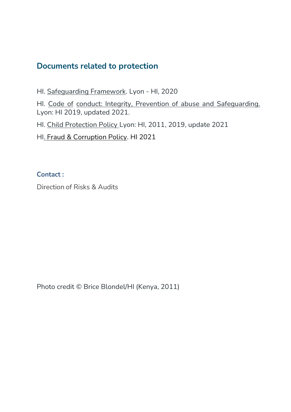## **Documents related to protection**

Hl. Safeguarding Framework. Lyon - HI, 2020

HI. [Code of](https://hinside.hi.org/intranet/front/publicDownload.jsp?docId=prod_2152933&authKey=cHJvZF8yMDA1OTAwOjE1NTc2NTQ3NDMzODc6JDJhJDA0JGJSQ2pWS0VvZmp1UmlnQTgzRTg1TXVlbHV3OEhRdlJvQ2h4aWVVZG5sc1hHRXQ0Zlp6Wk9D) [conduct: Integrity, Prevention of abuse and](https://hinside.hi.org/intranet/front/publicDownload.jsp?docId=prod_2152933&authKey=cHJvZF8yMDA1OTAwOjE1NTc2NTQ3NDMzODc6JDJhJDA0JGJSQ2pWS0VvZmp1UmlnQTgzRTg1TXVlbHV3OEhRdlJvQ2h4aWVVZG5sc1hHRXQ0Zlp6Wk9D) Safeguarding. Lyon: HI 2019, updated 2021.

HI. [Child Protection Policy](https://hinside.hi.org/intranet/front/publicDownload.jsp?docId=prod_2162565&authKey=cHJvZF8yMDA1OTAwOjE1NTQ4OTI1MjEzODM6JDJhJDA0JFRlcDhjc1BiQllka3ZVaUZUN284NHU0TTNZcXdrNXdFc1B0RFNFVGJheVIzdnBFZUJ4S0ZL) Lyon: HI, 2011, 2019, update 2021

HI. Fraud & Corruption Policy. HI 2021

**Contact :**

Direction of Risks & Audits

Photo credit © Brice Blondel/HI (Kenya, 2011)